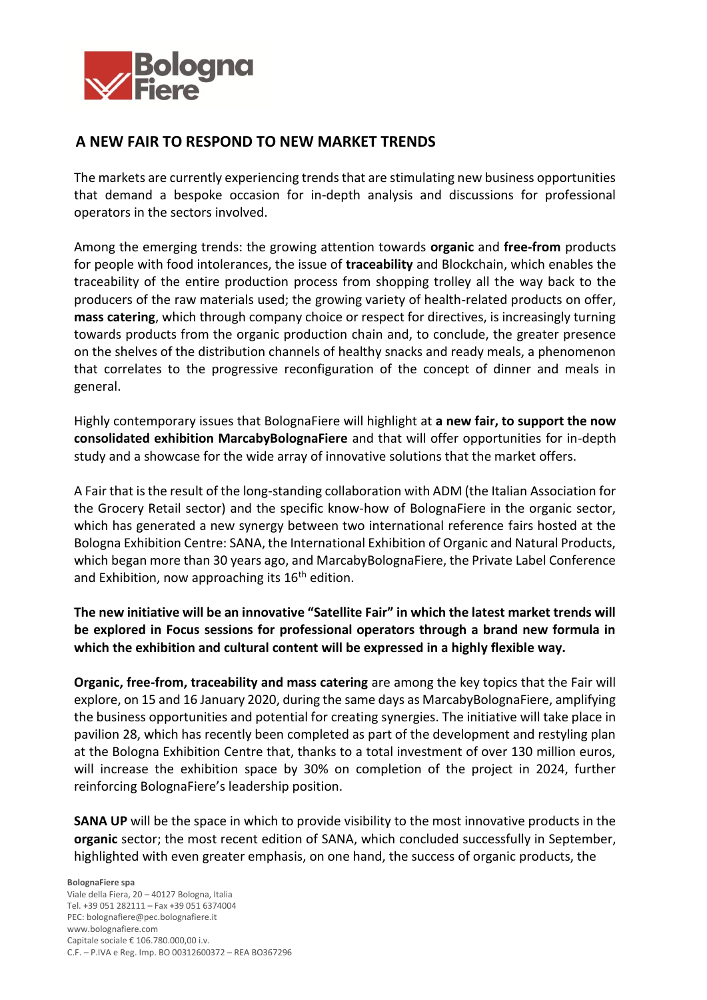

## **A NEW FAIR TO RESPOND TO NEW MARKET TRENDS**

The markets are currently experiencing trends that are stimulating new business opportunities that demand a bespoke occasion for in-depth analysis and discussions for professional operators in the sectors involved.

Among the emerging trends: the growing attention towards **organic** and **free-from** products for people with food intolerances, the issue of **traceability** and Blockchain, which enables the traceability of the entire production process from shopping trolley all the way back to the producers of the raw materials used; the growing variety of health-related products on offer, **mass catering**, which through company choice or respect for directives, is increasingly turning towards products from the organic production chain and, to conclude, the greater presence on the shelves of the distribution channels of healthy snacks and ready meals, a phenomenon that correlates to the progressive reconfiguration of the concept of dinner and meals in general.

Highly contemporary issues that BolognaFiere will highlight at **a new fair, to support the now consolidated exhibition MarcabyBolognaFiere** and that will offer opportunities for in-depth study and a showcase for the wide array of innovative solutions that the market offers.

A Fair that is the result of the long-standing collaboration with ADM (the Italian Association for the Grocery Retail sector) and the specific know-how of BolognaFiere in the organic sector, which has generated a new synergy between two international reference fairs hosted at the Bologna Exhibition Centre: SANA, the International Exhibition of Organic and Natural Products, which began more than 30 years ago, and MarcabyBolognaFiere, the Private Label Conference and Exhibition, now approaching its 16<sup>th</sup> edition.

**The new initiative will be an innovative "Satellite Fair" in which the latest market trends will be explored in Focus sessions for professional operators through a brand new formula in which the exhibition and cultural content will be expressed in a highly flexible way.** 

**Organic, free-from, traceability and mass catering** are among the key topics that the Fair will explore, on 15 and 16 January 2020, during the same days as MarcabyBolognaFiere, amplifying the business opportunities and potential for creating synergies. The initiative will take place in pavilion 28, which has recently been completed as part of the development and restyling plan at the Bologna Exhibition Centre that, thanks to a total investment of over 130 million euros, will increase the exhibition space by 30% on completion of the project in 2024, further reinforcing BolognaFiere's leadership position.

**SANA UP** will be the space in which to provide visibility to the most innovative products in the **organic** sector; the most recent edition of SANA, which concluded successfully in September, highlighted with even greater emphasis, on one hand, the success of organic products, the

**BolognaFiere spa** Viale della Fiera, 20 – 40127 Bologna, Italia Tel. +39 051 282111 – Fax +39 051 6374004 PEC[: bolognafiere@pec.bolognafiere.it](mailto:bolognafiere@pec.bolognafiere.it) [www.bolognafiere.com](http://www.bolognafiere.com/) Capitale sociale € 106.780.000,00 i.v. C.F. – P.IVA e Reg. Imp. BO 00312600372 – REA BO367296